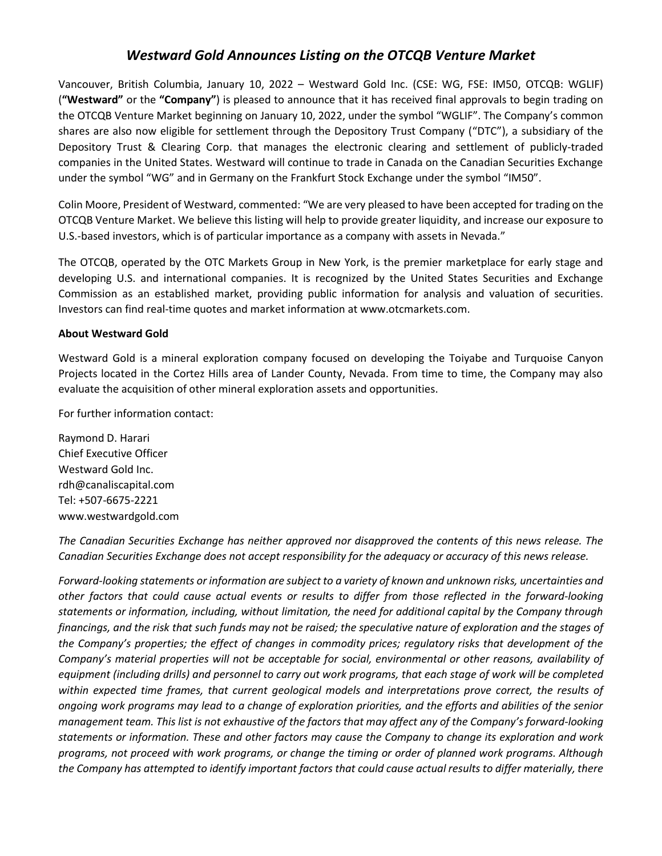## *Westward Gold Announces Listing on the OTCQB Venture Market*

Vancouver, British Columbia, January 10, 2022 – Westward Gold Inc. (CSE: WG, FSE: IM50, OTCQB: WGLIF) (**"Westward"** or the **"Company"**) is pleased to announce that it has received final approvals to begin trading on the OTCQB Venture Market beginning on January 10, 2022, under the symbol "WGLIF". The Company's common shares are also now eligible for settlement through the Depository Trust Company ("DTC"), a subsidiary of the Depository Trust & Clearing Corp. that manages the electronic clearing and settlement of publicly-traded companies in the United States. Westward will continue to trade in Canada on the Canadian Securities Exchange under the symbol "WG" and in Germany on the Frankfurt Stock Exchange under the symbol "IM50".

Colin Moore, President of Westward, commented: "We are very pleased to have been accepted for trading on the OTCQB Venture Market. We believe this listing will help to provide greater liquidity, and increase our exposure to U.S.-based investors, which is of particular importance as a company with assets in Nevada."

The OTCQB, operated by the OTC Markets Group in New York, is the premier marketplace for early stage and developing U.S. and international companies. It is recognized by the United States Securities and Exchange Commission as an established market, providing public information for analysis and valuation of securities. Investors can find real-time quotes and market information at www.otcmarkets.com.

## **About Westward Gold**

Westward Gold is a mineral exploration company focused on developing the Toiyabe and Turquoise Canyon Projects located in the Cortez Hills area of Lander County, Nevada. From time to time, the Company may also evaluate the acquisition of other mineral exploration assets and opportunities.

For further information contact:

Raymond D. Harari Chief Executive Officer Westward Gold Inc. rdh@canaliscapital.com Tel: +507-6675-2221 www.westwardgold.com

*The Canadian Securities Exchange has neither approved nor disapproved the contents of this news release. The Canadian Securities Exchange does not accept responsibility for the adequacy or accuracy of this news release.*

*Forward-looking statements or information are subject to a variety of known and unknown risks, uncertainties and other factors that could cause actual events or results to differ from those reflected in the forward-looking statements or information, including, without limitation, the need for additional capital by the Company through financings, and the risk that such funds may not be raised; the speculative nature of exploration and the stages of the Company's properties; the effect of changes in commodity prices; regulatory risks that development of the Company's material properties will not be acceptable for social, environmental or other reasons, availability of* equipment (including drills) and personnel to carry out work programs, that each stage of work will be completed *within expected time frames, that current geological models and interpretations prove correct, the results of ongoing work programs may lead to a change of exploration priorities, and the efforts and abilities of the senior management team. This list is not exhaustive of the factors that may affect any of the Company's forward-looking statements or information. These and other factors may cause the Company to change its exploration and work programs, not proceed with work programs, or change the timing or order of planned work programs. Although the Company has attempted to identify important factors that could cause actual results to differ materially, there*